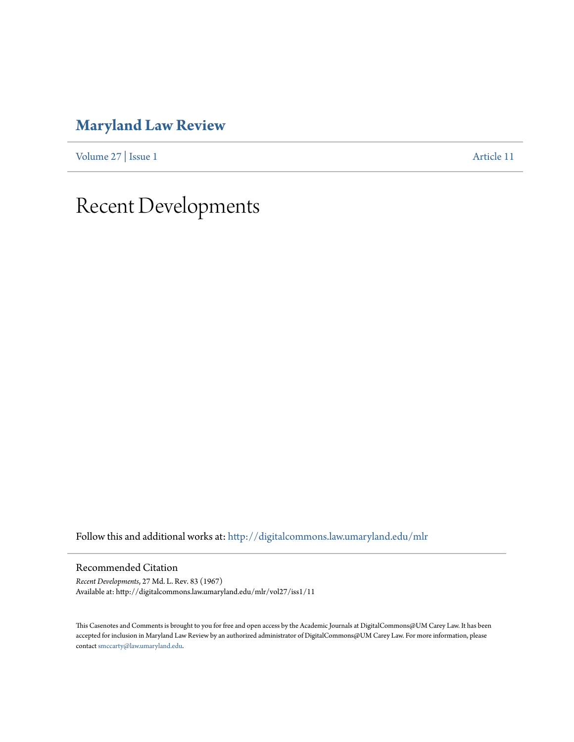## **[Maryland Law Review](http://digitalcommons.law.umaryland.edu/mlr?utm_source=digitalcommons.law.umaryland.edu%2Fmlr%2Fvol27%2Fiss1%2F11&utm_medium=PDF&utm_campaign=PDFCoverPages)**

[Volume 27](http://digitalcommons.law.umaryland.edu/mlr/vol27?utm_source=digitalcommons.law.umaryland.edu%2Fmlr%2Fvol27%2Fiss1%2F11&utm_medium=PDF&utm_campaign=PDFCoverPages) | [Issue 1](http://digitalcommons.law.umaryland.edu/mlr/vol27/iss1?utm_source=digitalcommons.law.umaryland.edu%2Fmlr%2Fvol27%2Fiss1%2F11&utm_medium=PDF&utm_campaign=PDFCoverPages) [Article 11](http://digitalcommons.law.umaryland.edu/mlr/vol27/iss1/11?utm_source=digitalcommons.law.umaryland.edu%2Fmlr%2Fvol27%2Fiss1%2F11&utm_medium=PDF&utm_campaign=PDFCoverPages)

## Recent Developments

Follow this and additional works at: [http://digitalcommons.law.umaryland.edu/mlr](http://digitalcommons.law.umaryland.edu/mlr?utm_source=digitalcommons.law.umaryland.edu%2Fmlr%2Fvol27%2Fiss1%2F11&utm_medium=PDF&utm_campaign=PDFCoverPages)

Recommended Citation

*Recent Developments*, 27 Md. L. Rev. 83 (1967) Available at: http://digitalcommons.law.umaryland.edu/mlr/vol27/iss1/11

This Casenotes and Comments is brought to you for free and open access by the Academic Journals at DigitalCommons@UM Carey Law. It has been accepted for inclusion in Maryland Law Review by an authorized administrator of DigitalCommons@UM Carey Law. For more information, please contact [smccarty@law.umaryland.edu.](mailto:smccarty@law.umaryland.edu)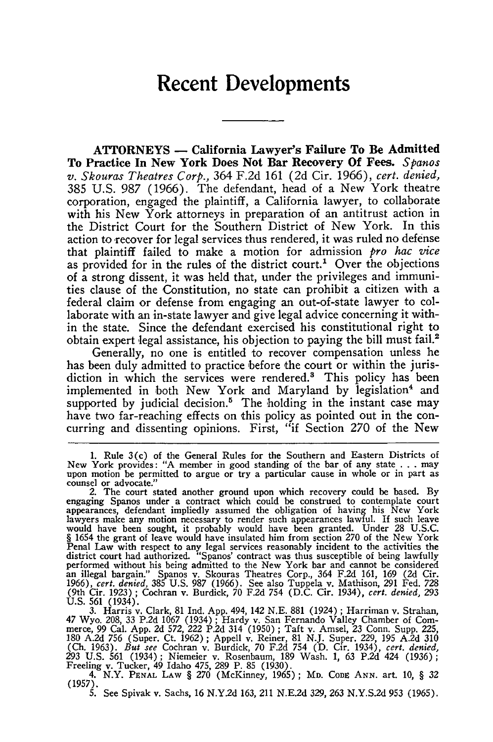## **Recent Developments**

**ATTORNEYS - California Lawyer's Failure To Be Admitted To Practice In New York Does Not Bar Recovery Of Fees.** *Spanos v. Skouras Theatres Corp.,* 364 F.2d 161 (2d Cir. 1966), *cert. denied,* 385 U.S. 987 (1966). The defendant, head of a New York theatre corporation, engaged the plaintiff, a California lawyer, to collaborate with his New York attorneys in preparation of an antitrust action in the District Court for the Southern District of New York. In this action to recover for legal services thus rendered, it was ruled no defense that plaintiff failed to make a motion for admission *pro hac vice* as provided for in the rules of the district court.<sup>1</sup> Over the objections of a strong dissent, it was held that, under the privileges and immunities clause of the Constitution, no state can prohibit a citizen with a federal claim or defense from engaging an out-of-state lawyer to collaborate with an in-state lawyer and give legal advice concerning it within the state. Since the defendant exercised his constitutional right to obtain expert legal assistance, his objection to paying the bill must fail.2

Generally, no one is entitled to recover compensation unless he has been duly admitted to practice before the court or within the jurisdiction in which the services were rendered.' This policy has been implemented in both New York and Maryland by legislation<sup>4</sup> and supported by judicial decision.<sup>5</sup> The holding in the instant case may have two far-reaching effects on this policy as pointed out in the concurring and dissenting opinions. First, "if Section 270 of the New

<sup>1.</sup> Rule 3(c) of the General Rules for the Southern and Eastern Districts of New York provides: "A member in good standing of the bar of any state **.. .**may upon motion be permitted to argue or try a particular cause in whole or in part as counsel or advocate."

<sup>2.</sup> The court stated another ground upon which recovery could be based. **By** engaging Spanos under a contract which could be construed to contemplate court<br>appearances, defendant impliedly assumed the obligation of having his New York<br>lawyers make any motion necessary to render such appearances law would have been sought, it probably would have been granted. Under 28 U.S.C § 1654 the grant of leave would have insulated him from section 270 of the New York Penal Law with respect to any legal services reasonably incide district court had authorized. "Spanos' contract was thus susceptible of being lawfully performed without his being admitted to the New York bar and cannot be considered<br>an illegal bargain." Spanos v. Skouras Theatres Corp., 364 F.2d 161, 169 (2d Cir.<br>1966), *cert. denied*, 385 U.S. 987 (1966). See also Tuppe (9th Cir. 1923) ; Cochran v. Burdick, 70 F.2d 754 (D.C. Cir. 1934), *cert. denied, 293* U.S. 561 (1934). 3. Harris v. Clark, 81 Ind. App. 494, 142 N.E. 881 (1924) ; Harriman v. Strahan,

<sup>47</sup> Wyo. 208, 33 P.2d 1067 (1934); Hardy v. San Fernando Valley Chamber of Commerce, 99 Cal. App. 2d 572, 222 P.2d 314 (1950); Taft v. Amsel, 23 Conn. Supp. 225<br>180 A.2d 756 (Super. Ct. 1962): Appell v. Reiner. 81 N.J. Supe (Ch. 1963). *But see* Cochran v. Burdick, 70 F.2d 754 (D. Cir. 1934), *cert. denied,* 293 U.S. 561 (1934); Niemeier v. Rosenbaum, 189 Wash. 1, 63 P.2d 424 (1936); Freeling v. Tucker, 49 Idaho 475, 289 P. 85 (1930).

<sup>4.</sup> N.Y. PENAL LAW § 270 (McKinney, 1965); MD. Code Ann. art. 10, § 32<br>(1957). **5.** See Spivak v. Sachs, 16 N.Y.2d 163, 211 N.E.2d 329, 263 N.Y.S.2d 953 (1965).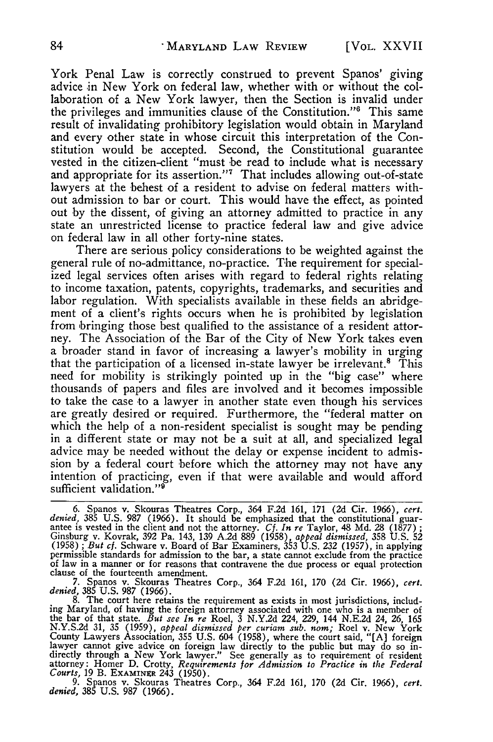York Penal Law is correctly construed to prevent Spanos' giving advice in New York on federal law, whether with or without the collaboration of a New York lawyer, then the Section is invalid under the privileges and immunities clause of the Constitution."<sup>6</sup> This same result of invalidating prohibitory legislation would obtain in Maryland and every other state in whose circuit this interpretation of the Constitution would be accepted. Second, the Constitutional guarantee vested in the citizen-client "must be read to include what is necessary and appropriate for its assertion."<sup>7</sup> That includes allowing out-of-state lawyers at the behest of a resident to advise on federal matters without admission to bar or court. This would have the effect, as pointed out **by** the dissent, of giving an attorney admitted to practice in any state an unrestricted license to practice federal law and give advice on federal law in all other forty-nine states.

There are serious policy considerations to be weighted against the general rule of no-admittance, no-practice. The requirement for specialized legal services often arises with regard to federal rights relating to income taxation, patents, copyrights, trademarks, and securities and labor regulation. With specialists available in these fields an abridgement of a client's rights occurs when he is prohibited **by** legislation from bringing those best qualified to the assistance of a resident attorney. The Association of the Bar of the City of New York takes even a broader stand in favor of increasing a lawyer's mobility in urging that the participation of a licensed in-state lawyer be irrelevant.<sup>8</sup> This need for mobility is strikingly pointed up in the "big case" where thousands of papers and files are involved and it becomes impossible to take the case to a lawyer in another state even though his services are greatly desired or required. Furthermore, the "federal matter on which the help of a non-resident specialist is sought may be pending in a different state or may not be a suit at all, and specialized legal advice may be needed without the delay or expense incident to admission by a federal court before which the attorney may not have any intention of practicing, even if that were available and would afford sufficient validation."<sup>9</sup>

<sup>6.</sup> Spanos v. Skouras Theatres Corp., 364 F.2d 161, 171 (2d Cir. 1966), *cert. denied,* **385** U.S. 987 (1966). It should be emphasized that the constitutional guarantee is vested in the client and not the attorney. *Cf. In re* Taylor, 48 Md. 28 (1877) *;* Ginsburg v. Kovrak, 392 Pa. 143, 139 A.2d 889 (1958), *appeal dismissed,* 358 U.S. **<sup>52</sup>** (1958); *But cf.* Schware v. Board of Bar Examiners, 353 U.S. 232 (1957), in applying<br>permissible standards for admission to the bar, a state cannot exclude from the practice<br>of law in a manner or for reasons that contrav

<sup>7.</sup> Spanos v. Skouras Theatres Corp., 364 F.2d 161, 170 (2d Cir. 1966), *cert.* denied, 385 U.S. 987 (1966).<br>8. The court here retains the requirement as exists in most jurisdictions, includ-

ing Maryland, of having the foreign attorney associated with one who is a member of the bar of that state. *But see In re* Roel, 3 N.Y.2d 224, 229, 144 N.E.2d 24, 26, 165 N.Y.S.2d 31, **35** (1959), *appeal dismissed per curiam sub. nom;* Roel v. New York County Lawyers Association, 355 U.S. 604 (1958), where the court said, "[A] foreign lawyer cannot give advice on foreign law directly to the public but may do so indirectly through a New York lawyer." See generally as to requirement of resident attorney: Homer D. Crotty, *Requirements for Admission to Practice in the Federal Courts,* 19 B. EXAMINER 243 (1950). 9. Spanos v. Skouras Theatres Corp., 364 F.2d 161, 170 (2d Cir. 1966), *cert.*

<sup>9.</sup> Spanos v. Skouras Theatres Corp., 364 F.2d 161, 170 (2d Cir. 1966), cert. denied, 385 U.S. 987 (1966).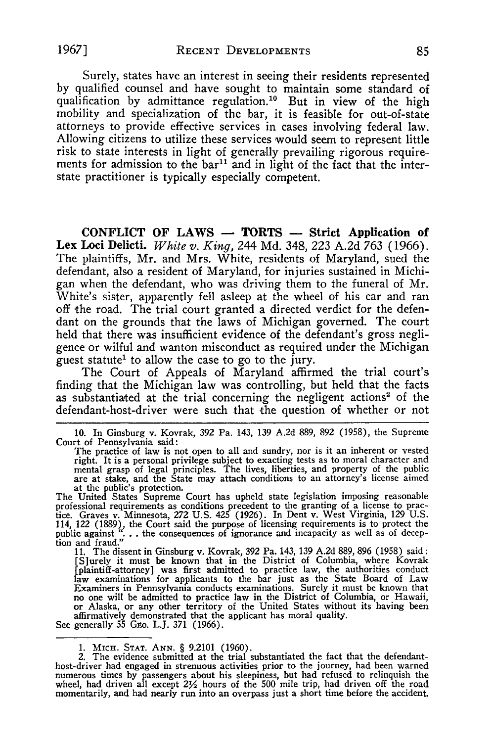Surely, states have an interest in seeing their residents represented by qualified counsel and have sought to maintain some standard of qualification by admittance regulation.<sup>10</sup> But in view of the high mobility and specialization of the bar, it is feasible for out-of-state attorneys to provide effective services in cases involving federal law. Allowing citizens to utilize these services would seem to represent little risk to state interests in light of generally prevailing rigorous requirements for admission to the  $bar^{11}$  and in light of the fact that the interstate practitioner is typically especially competent.

**CONFLICT** OF LAWS **-** TORTS **-** Strict Application of Lex Loci Delicti. *White v. King,* 244 **Md.** 348, **223 A.2d 763** (1966). The plaintiffs, Mr. and Mrs. White, residents of Maryland, sued the defendant, also a resident of Maryland, for injuries sustained in Michigan when the defendant, who was driving them to the funeral of Mr. White's sister, apparently fell asleep at the wheel of his car and ran off the road. The trial court granted a directed verdict for the defendant on the grounds that the laws of Michigan governed. The court held that there was insufficient evidence of the defendant's gross negligence or wilful and wanton misconduct as required under the Michigan guest statute' to allow the case to go to the jury.

The Court of Appeals of Maryland affirmed the trial court's finding that the Michigan law was controlling, but held that the facts as substantiated at the trial concerning the negligent actions' of the defendant-host-driver were such that the question of whether or not

10. In Ginsburg v. Kovrak, 392 Pa. 143, 139 A.2d 889, 892 (1958), the Supreme Court of Pennsylvania said:

The practice of law is not open to all and sundry, nor is it an inherent or vested right. It is a personal privilege subject to exacting tests as to moral character and mental grasp of legal principles. The lives, liberties, and property of the publicare at stake, and the State may attach conditions to a at the public's protection.

The United States Supreme Court has upheld state legislation imposing reasonable professional requirements as conditions precedent to the granting of a license to prac-tice. Graves v. Minnesota, 272 U.S. 425 (1926). In Dent v. West Virginia, 129 U.S. 114, 122 (1889), the Court said the purpose of licensing requirements is to protect the public against **". . .** the consequences of ignorance and incapacity as well as of deception and fraud." 11. The dissent in Ginsburg v. Kovrak, 392 Pa. 143, 139 A.2d 889, 896 (1958) said:

[S]urely it must be known that in the District of Columbia, where Kovrak<br>[plaintiff-attorney] was first admitted to practice law, the authorities conduct<br>law examinations for applicants to the bar just as the State Board o Examiners in Pennsylvania conducts examinations. Surely it must be known that no one will be admitted to practice law in the District of Columbia, or Hawaii, or Alaska, or any other territory of the United States without its having been<br>affirmatively demonstrated that the applicant has moral quality.<br>See generally 55 Gzo. L.J. 371 (1966).

<sup>1.</sup> MIcH. **STAT. ANN.** § 9.2101 (1960). 2. The evidence submitted at the trial substantiated the fact that the defendanthost-driver had engaged in strenuous activities prior to the journey, had been warned numerous times by passengers about his sleepiness, but had refused to relinquish the wheel, had driven all except  $2\frac{1}{2}$  hours of the 500 mile trip, had driven off the road momentarily, and had nearly run into an overpass just a short time before the accident.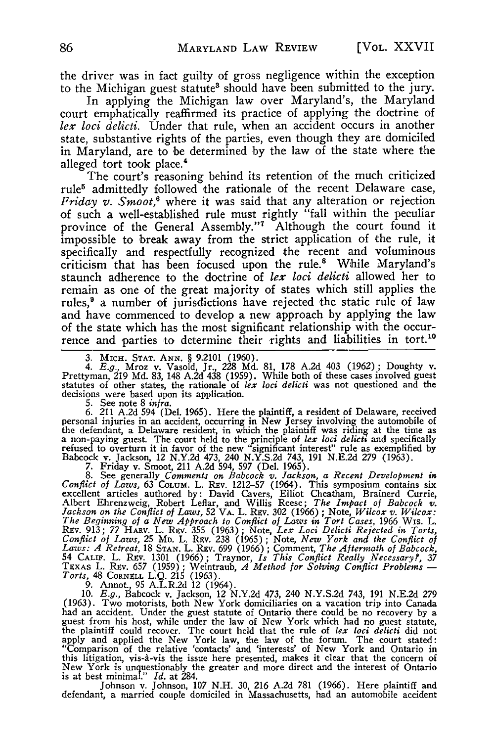the driver was in fact guilty of gross negligence within the exception to the Michigan guest statute<sup>3</sup> should have been submitted to the jury.

In applying the Michigan law over Maryland's, the Maryland court emphatically reaffirmed its practice of applying the doctrine of lex *loci delicti.* Under that rule, when an accident occurs in another state, substantive rights of the parties, even though they are domiciled in Maryland, are to be determined by the law of the state where the alleged tort took place.<sup>4</sup>

The court's reasoning behind its retention of the much criticized rule<sup>5</sup> admittedly followed the rationale of the recent Delaware case, *Friday v. Smoot,6* where it was said that any alteration or rejection of such a well-established rule must rightly "fall within the peculiar province of the General Assembly." Although the court found it impossible to break away from the strict application of the rule, it specifically and respectfully recognized the recent and voluminous criticism that has been focused upon the rule.' While Maryland's staunch adherence to the doctrine of *lex loci delicti* allowed her to remain as one of the great majority of states which still applies the rules,<sup>9</sup> a number of jurisdictions have rejected the static rule of law and have commenced to develop a new approach by applying the law of the state which has the most significant relationship with the occur-<br>rence and parties to determine their rights and liabilities in tort.<sup>10</sup> rence and parties to determine their rights and liabilities in tort.<sup>1</sup>

3. MICH. **STAT.** ANN. § 9.2101 (1960). *4. E.g.,* Mroz v. Vasold, Jr., 228 Md. 81, 178 A.2d 403 (1962); Doughty v. Prettyman, 219 Md. 83, 148 A.2d 438 (1959). While both of these cases involved guest statutes of other states, the rationale of *lex loci delicti* was not questioned and the

decisions were based upon its application.<br>5. See note 8 *infra*.<br>6. 211 A.2d 594 (Del. 1965). Here the plaintiff, a resident of Delaware, received<br>personal injuries in an accident, occurring in New Jersey involving the au the defendant, a Delaware resident, in which the plaintiff was riding at the time as<br>a non-paying guest. The court held to the principle of lex loci delicit and specifically<br>refused to overturn it in favor of the new "sign Babcock v. Jackson, 12 N.Y.2d 473, 240 N.Y.S.2d 743, 191 N.E.2d 279 (1963). 7. Friday v. Smoot, 211 A.2d 594, 597 (Del. 1965).

8. See generally Comments on Babcock v. Jackson, a Recent Development in<br>Conflict of Laws, 63 COLUM. L. REV. 1212-57 (1964). This symposium contains six<br>excellent articles authored by: David Cavers, Elliot Cheatham, Braine REV. 913; 77 HARV. L. REV. 355 (1963); Note, Lex Loci Delicti Rejected in Torts,<br>Conflict of Laws, 25 Mp. L. REV. 238 (1965); Note, New York and the Conflict of<br>Laws: A Retreat, 18 STAN. L. REV. 699 (1966); Comment, The Af 54 CALIF. L. REV. 1301 (1966); Traynor, *Is This Conflict Really Necessary?*, 37<br>TEXAS L. REV. 657 (1959); Weintraub, *A Method for Solving Conflict Problems* —<br>Torts, 48 CORNELL L.Q. 215 (1963).<br>9. Annot., 95 A.L.R.2d 12

(1963). Two motorists, both New York domiciliaries on a vacation trip into Canada<br>had an accident. Under the guest statute of Ontario there could be no recovery by a<br>guest from his host, while under the law of New York wh "Comparison of the relative 'contacts' and 'interests' of New York and Ontario in this litigation, vis-A-vis the issue here presented, makes it clear that the concern of New York is unquestionably the greater and more direct and the interest of Ontario is at best minimal." *Id.* at 284.

Johnson v. Johnson, 107 N.H. 30, 216 A.2d 781 (1966). Here plaintiff and defendant, a married couple domiciled in Massachusetts, had an automobile accident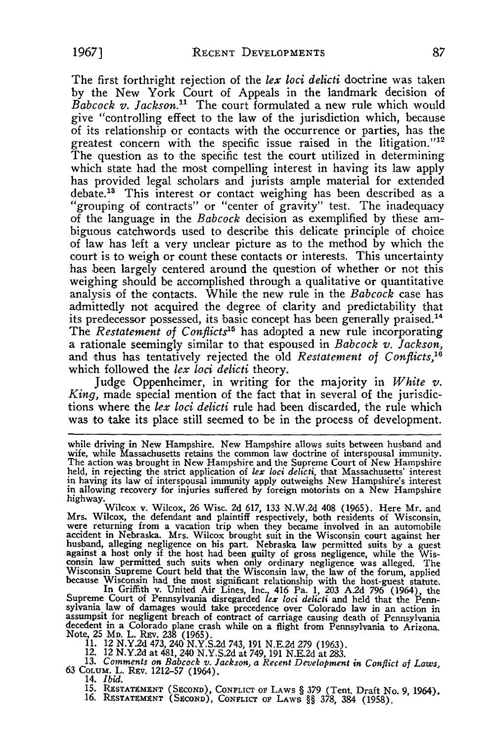The first forthright rejection of the *lex loci delicti* doctrine was taken by the New York Court of Appeals in the landmark decision of *Babcock v. Jackson."* The court formulated a new rule which would give "controlling effect to the law of the jurisdiction which, because of its relationship or contacts with the occurrence or parties, has the greatest concern with the specific issue raised in the litigation."<sup>12</sup> The question as to the specific test the court utilized in determining which state had the most compelling interest in having its law apply has provided legal scholars and jurists ample material for extended debate.<sup>13</sup> This interest or contact weighing has been described as a "grouping of contracts" or "center of gravity" test. The inadequacy of the language in the *Babcock* decision as exemplified by these ambiguous catchwords used to describe this delicate principle of choice of law has left a very unclear picture as to the method by which the court is to weigh or count these contacts or interests. This uncertainty has been largely centered around the question of whether or not this weighing should be accomplished through a qualitative or quantitative analysis of the contacts. While the new rule in the *Babcock* case has admittedly not acquired the degree of clarity and predictability that its predecessor possessed, its basic concept has been generally praised.<sup>14</sup> The *Restatement of Conflicts*<sup>15</sup> has adopted a new rule incorporating a rationale seemingly similar to that espoused in *Babcock v. Jackson,* and thus has tentatively rejected the old *Restatement of Conflicts,'6* which followed the *lex loci delicti* theory.

Judge Oppenheimer, in writing for the majority in *White v. King,* made special mention of the fact that in several of the jurisdictions where the *lex loci delicti* rule had been discarded, the rule which was to take its place still seemed to be in the process of development.

highway.<br>Wilcox v. Wilcox, 26 Wisc. 2d 617, 133 N.W.2d 408 (1965). Here Mr. and<br>Mrs. Wilcox, the defendant and plaintiff respectively, both residents of Wisconsin,<br>were returning from a vacation trip when they became invol were returning from a vacation trip when they became involved in an automobile accident in Nebraska. Mrs. Wilcox brought suit in the Wisconsin court against her husband, alleging negligence on his part. Nebraska law permitted suits by a guest<br>against a host only if the host had been guilty of gross negligence, while the Wis-<br>consin law permitted such suits when only ordinary negli Wisconsin Supreme Court held that the Wisconsin law, the law of the forum, applied<br>because Wisconsin had the most significant relationship with the host-guest statute<br>In Griffith v. United Air Lines, Inc., 416 Pa. 1, 203 A

Supreme Court of Pennsylvania disregarded  $lex loci$  deliciti and held that the Penn-<br>sylvania law of damages would take precedence over Colorado law in an action in<br>assumpsit for negligent breach of contract of carriage causi decedent in a Colorado plane crash while on a flight from Pennsylvania to Arizona.<br>Note, 25 Mp. L. Rzv. 238 (1965).<br>11. 12 N.Y.2d 473, 240 N.Y.S.2d 743, 191 N.E.2d 279 (1963).

12. 12 **N.Y.2d** at 481, 240 **N.Y.S.2d** at **749,** 191 **N.E.2d** at **283.**

**13. Comments on Babcock v. Jackson, a Recent Development in Conflict of Laws,**<br> **63 COLUM. L. REV. 1212-57 (1964).**<br> **14.** *Ibid.* 

**14. Ibid. 15. PostAT (SACOND), CONFLICT OF LAWS § 379 (Tent. Draft No. 9, 1964). 16. Property CEOND)**, CONFLICT of LAWS **§§ 378, 384 (1958). 16. Property CEOND**), CONFLICT of LAWS **§§** 378, 384 (1958).

while driving in New Hampshire. New Hampshire allows suits between husband and<br>wife, while Massachusetts retains the common law doctrine of interspousal immunity.<br>The action was brought in New Hampshire and the Supreme Co in having its law of interspousal immunity apply outweighs New Hampshire's interest<br>in allowing recovery for injuries suffered by foreign motorists on a New Hampshire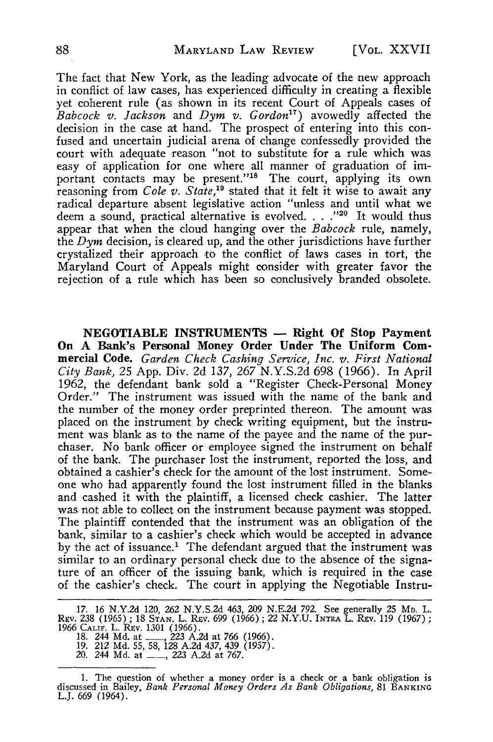The fact that New York, as the leading advocate of the new approach in conflict of law cases, has experienced difficulty in creating a flexible yet coherent rule (as shown in its recent Court of Appeals cases of *Babcock v. Jackson* and *Dym v. Gordon*<sup>17</sup>) avowedly affected the decision in the case at hand. The prospect of entering into this confused and uncertain judicial arena of change confessedly provided the court with adequate reason "not to substitute for a rule which was easy of application for one where all manner of graduation of important contacts may be present."<sup>18</sup> The court, applying its own reasoning from *Cole v. State*,<sup>19</sup> stated that it felt it wise to await any radical departure absent legislative action "unless and until what we deem a sound, practical alternative is evolved. . . ."<sup>20</sup> It would thus appear that when the cloud hanging over the *Babcock* rule, namely, the *Dym* decision, is cleared up, and the other jurisdictions have further crystalized their approach to the conflict of laws cases in tort, the Maryland Court of Appeals might consider with greater favor the rejection of a rule which has been so conclusively branded obsolete.

**NEGOTIABLE INSTRUMENTS - Right Of Stop Payment On A Bank's Personal Money Order Under The Uniform Commercial Code.** *Garden Check Cashing Service, Inc. v. First National City Bank,* 25 App. Div. 2d 137, 267 N.Y.S.2d 698 (1966). In April 1962, the defendant bank sold a "Register Check-Personal Money Order." The instrument was issued with the name of the bank and the number of the money order preprinted thereon. The amount was placed on the instrument by check writing equipment, but the instrument was blank as to the name of the payee and the name of the purchaser. No bank officer or employee signed the instrument on behalf of the bank. The purchaser lost the instrument, reported the loss, and obtained a cashier's check for the amount of the lost instrument. Someone who had apparently found the lost instrument filled in the blanks and cashed it with the plaintiff, a licensed check cashier. The latter was not able to collect on the instrument because payment was stopped. The plaintiff contended that the instrument was an obligation of the bank, similar to a cashier's check which would be accepted in advance by the act of issuance.' The defendant argued that the instrument was similar to an ordinary personal check due to the absence of the signature of an officer of the issuing bank, which is required in the case of the cashier's check. The court in applying the Negotiable Instru-

<sup>17. 16</sup> N.Y.2d 120, 262 N.Y.S.2d 463, 209 N.E.2d 792. See generally 25 Mp. L.<br>Rev. 238 (1965); 18 STAN. L. Rev. 699 (1966); 22 N.Y.U. INTRA L. Rev. 119 (1967); 1966 CALIF. L. Rev. 1301 (1966).<br>1966 CALIF. L. Rev. 1301 (1966

<sup>1.</sup> The question of whether a money order is a check or a bank obligation is discussed in Bailey, *Bank Personal Money Orders As Bank Obligations,* 81 **BANKING** L.J. 669 (1964).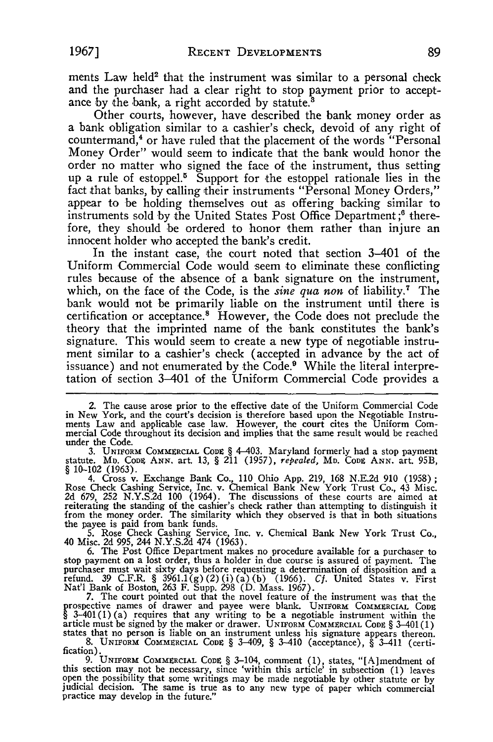ments Law held<sup>2</sup> that the instrument was similar to a personal check and the purchaser had a clear right to stop payment prior to acceptance by the bank, a right accorded by statute.<sup>8</sup>

Other courts, however, have described the bank money order as a bank obligation similar to a cashier's check, devoid of any right of countermand,<sup>4</sup> or have ruled that the placement of the words "Personal Money Order" would seem to indicate that the bank would honor the order no matter who signed the face of the instrument, thus setting up a rule of estoppel.<sup>5</sup> Support for the estoppel rationale lies in the fact that banks, by calling their instruments "Personal Money Orders," appear to be holding themselves out as offering backing similar to instruments sold by the United States Post Office Department ;6 therefore, they should 'be ordered to honor them rather than injure an innocent holder who accepted the bank's credit.

In the instant case, the court noted that section 3-401 of the Uniform Commercial Code would seem to eliminate these conflicting rules because of the absence of a bank signature on the instrument, which, on the face of the Code, is the *sine qua non* of liability.7 The bank would not be primarily liable on the instrument until there is certification or acceptance.<sup>8</sup> However, the Code does not preclude the theory that the imprinted name of the bank constitutes the bank's signature. This would seem to create a new type of negotiable instrument similar to a cashier's check (accepted in advance by the act of issuance) and not enumerated by the Code.<sup>9</sup> While the literal interpretation of section 3-401 of the Uniform Commercial Code provides a

under the Code.<br>
3. UNIFORM COMMERCIAL CODE § 4-403. Maryland formerly had a stop payment<br>
statute. MD. CODE ANN. art. 13, § 211 (1957), *repealed*, MD. CODE ANN. art. 95B<br>
§ 10-102 (1963).<br>
4. Cross v. Exchange Bank Co.,

stop payment on a lost order, thus a holder in due course is assured of payment. The purchaser must wait sixty days before requesting a determination of disposition and a<br>refund. 39 C.F.R. § 3961.1(g) (2) (i) (a) (b) (1966). Cf. United States v. First<br>Nat'l Bank of Boston, 263 F. Supp. 298 (D. Mass. 1967).

7. The court pointed out that the novel feature of the instrument was that the prospective names of drawer and payee were blank. UNIFORM COMMERCIAL CODE  $\S$  3-401(1)(a) requires that any writing to be a negotiable instrum states that no person is liable on an instrument unless his signature appears thereon.

8. UNIFORM COMMERCIAL CODE § 3-409, § 3-410 (acceptance), § 3-411 (certification). **9.** UNIFORM COMMERCIAL CODE § 3-104, comment (1), states, "[A]mendment of

this section may not be necessary, since 'within this article' in subsection (1) leaves<br>open the possibility that some writings may be made negotiable by other statute or by<br>judicial decision. The same is true as to any ne

*<sup>2.</sup>* The cause arose prior to the effective date of the Uniform Commercial Code in New York, and the court's decision is therefore based upon the Negotiable Instruments Law and applicable case law. However, the court cites the Uniform Commercial Code throughout its decision and implies that the same r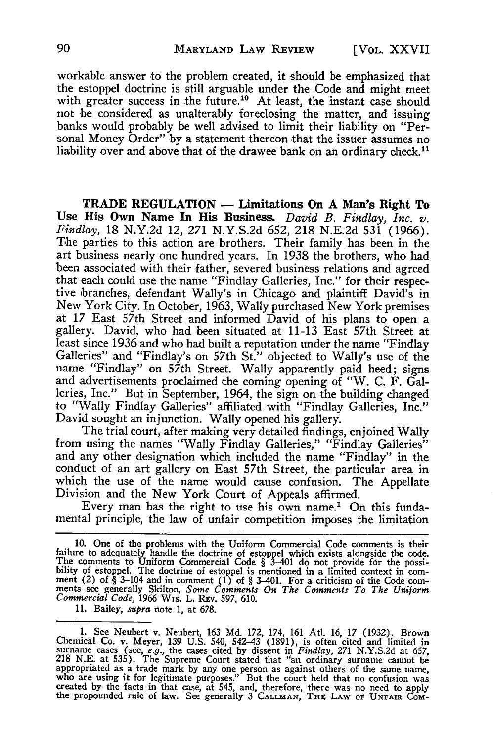workable answer to the problem created, it should be emphasized that the estoppel doctrine is still arguable under the Code and might meet with greater success in the future.<sup>10</sup> At least, the instant case should not be considered as unalterably foreclosing the matter, and issuing banks would probably be well advised to limit their liability on "Personal Money Order" by a statement thereon that the issuer assumes no liability over and above that of the drawee bank on an ordinary check.<sup>11</sup>

**TRADE REGULATION - Limitations On A** Man's **Right To Use His Own Name In His Business.** *David B. Findlay, Inc. v. Findlay,* **18 N.Y.2d 12, 271 N.Y.S.2d 652, 218 N.E.2d 531 (1966).** The parties to this action are brothers. Their family has been in the art business nearly one hundred years. In 1938 the brothers, who had been associated with their father, severed business relations and agreed that each could use the name "Findlay Galleries, Inc." for their respective branches, defendant Wally's in Chicago and plaintiff David's in New York City. In October, **1963,** Wally purchased New York premises at **17** East 57th Street and informed David of his plans to open a gallery. David, who had been situated at **11-13** East 57th Street at least since **1936** and who had built a reputation under the name "Findlay Galleries" and "Findlay's on 57th St." objected to Wally's use of the name "Findlay" on 57th Street. Wally apparently paid heed; signs and advertisements proclaimed the coming opening of "W. **C.** F. Galleries, Inc." But in September, 1964, the sign on the building changed to "Wally Findlay Galleries" affiliated with "Findlay Galleries, Inc."<br>David sought an injunction. Wally opened his gallery.

The trial court, after making very detailed findings, enjoined Wally from using the names "Wally Findlay Galleries," "Findlay Galleries" and any other designation which included the name "Findlay" in the conduct of an art gallery on East 57th Street, the particular area in which the use of the name would cause confusion. The Appellate Division and the New York Court of Appeals affirmed.

Every man has the right to use his own name.<sup>1</sup> On this fundamental principle, the law of unfair competition imposes the limitation

**11.** Bailey, *supra* **note 1, at 678.**

<sup>10.</sup> One of the problems with the Uniform Commercial Code comments is their<br>failure to adequately handle the doctrine of estoppel which exists alongside the code.<br>The comments to Uniform Commercial Code § 3-401 do not prov

<sup>1.</sup> See Neubert v. Neubert, 163 Md. 172, 174, 161 Atl. 16, 17 (1932). Brown<br>Chemical Co. v. Meyer, 139 U.S. 540, 542-43 (1891), is often cited and limited in<br>surname cases (see, *e.g.*, the cases cited by dissent in *Findla* appropriated as a trade mark by any one person as against others of the same name<br>who are using it for legitimate purposes." But the court held that no confusion was<br>created by the facts in that case, at 545, and, therefor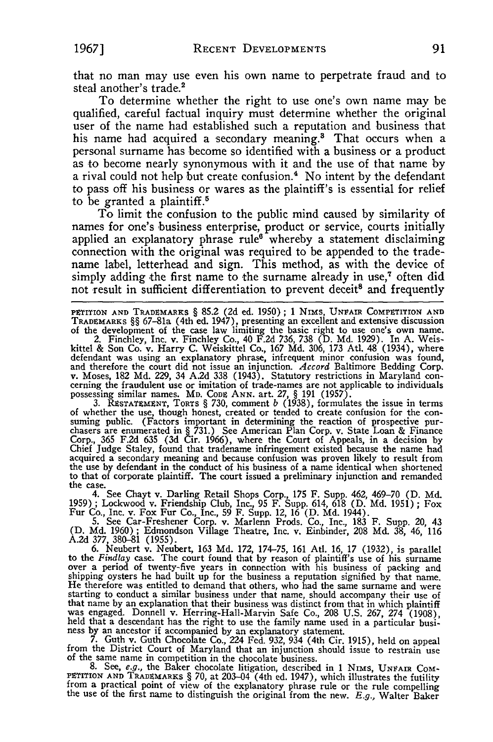that no man may use even his own name to perpetrate fraud and to steal another's trade.<sup>2</sup>

To determine whether the right to use one's own name may be qualified, careful factual inquiry must determine whether the original user of the name had established such a reputation and business that his name had acquired a secondary meaning.<sup>3</sup> That occurs when a personal surname has become so identified with a business or a product as to become nearly synonymous with it and the use of that name **by** a rival could not help but create confusion.' No intent **by** the defendant to pass off his business or wares as the plaintiff's is essential for relief to be granted a plaintiff.<sup>5</sup>

To limit the confusion to the public mind caused **by** similarity of names for one's business enterprise, product or service, courts initially applied an explanatory phrase rule<sup>6</sup> whereby a statement disclaiming connection with the original was required to be appended to the tradename label, letterhead and sign. This method, as with the device of simply adding the first name to the surname already in use,<sup>7</sup> often did not result in sufficient differentiation to prevent deceit<sup>8</sup> and frequently

PETITION AND TRADEMARKS § 85.2 (2d ed. 1950); 1 NIMS, UNFAIR COMPETITION AND TRADEMARKS §§ 67-81a (4th ed. 1947), presenting an excellent and extensive discussion of the development of the case law limiting the basic right

defendant was using an explanatory phrase, infrequent minor confusion was found, and therefore the court did not issue an injunction. Accord Baltimore Bedding Corp.<br>v. Moses, 182 Md. 229, 34 A.2d 338 (1943). Statutory rest possessing similar names. MD. CoDE ANN. art. 27, § 191 (1957)

3. RESTATEMENT, TORTS § 730, comment  $b$  (1938), formulates the issue in terms of whether the use, though honest, created or tended to create confusion for the consuming public. (Factors important in determining the react chasers are enumerated in § 731.) See American Plan Corp. v. State Loan & Finance Corp., **365** F.2d **635 (3d** Cir. 1966), where the Court of Appeals, in a decision **by** Chief Judge Staley, found that tradename infringement existed because the name had acquired a secondary meaning and because confusion was proven likely to result from the use **by** defendant in the conduct of his business of a name identical when shortened to that of corporate plaintiff. The court issued a preliminary injunction and remanded

the case. 4. See Chayt v. Darling Retail Shops Corp., 175 F. Supp. 462, 469-70 (D. Md. 1959) **;** Lockwood v. Friendship Club, Inc., 95 F. Supp. 614, 618 (D. Md. 1951) **;** Fox Fur Co., Inc. v. Fox Fur Co., Inc., 59 F. Supp. 12, 16 (D. Md. 1944).

5. See Car-Freshener Corp. v. Marlenn Prods. Co., Inc., 183 F. Supp. 20, 43 (D. Md. 1960); Edmondson Village Theatre, Inc. v. Einbinder, 208 Md. **38,** 46, 116

A.2d 377, 380–81 (1955).<br>6. Neubert v. Neubert, 163 Md. 172, 174–75, 161 Atl. 16, 17 (1932), is parallel<br>to the *Findlay* case. The court found that by reason of plaintiff's use of his surname<br>over a period of twenty-five shipping oysters he had built up for the business a reputation signified by that name.<br>He therefore was entitled to demand that others, who had the same surname and were<br>starting to conduct a similar business under that na He therefore was entitled to demand that others, who had the same surname and were<br>starting to conduct a similar business under that name, should accompany their use of<br>that name by an explanation that their business was d

The companied by an explanatory statement.<br>
T. Guth v. Guth Chocolate Co., 224 Fed. 932, 934 (4th Cir. 1915), held on appeal<br>
from the District Court of Maryland that an injunction should issue to restrain use

8. See, e.g., the Baker chocolate litigation, described in 1 NIMS, UNFAIR COM-<br>PETITION AND TRADEMARKS § 70, at 203-04 (4th ed. 1947), which illustrates the futility<br>from a practical point of view of the explanatory phras